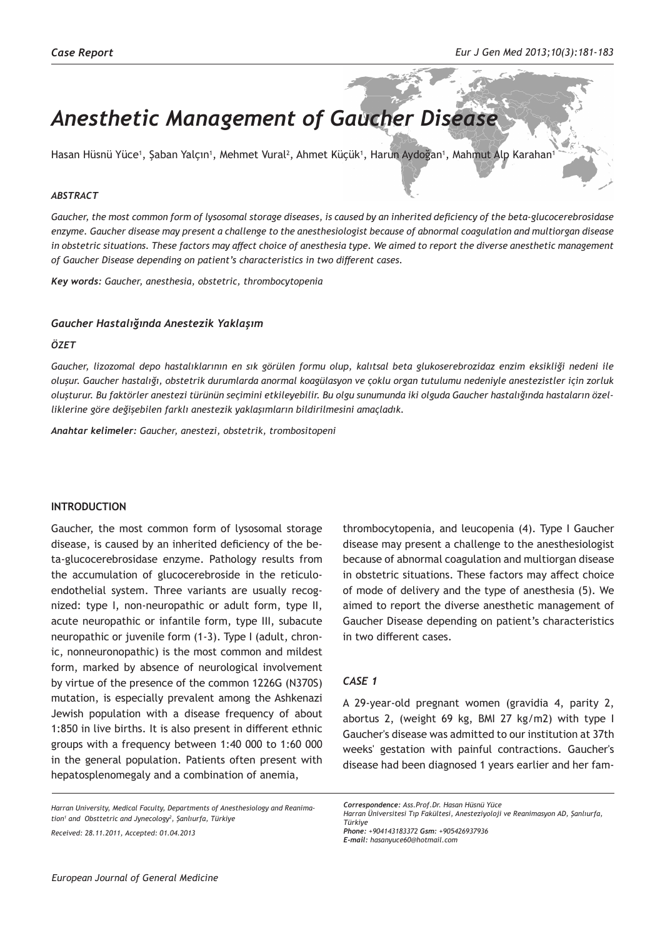# *Anesthetic Management of Gaucher Disease*

Hasan Hüsnü Yüce', Şaban Yalçın', Mehmet Vural<sup>2</sup>, Ahmet Küçük', Harun Aydoğan', Mahmut Alp Karahan'

### *ABSTRACT*

*Gaucher, the most common form of lysosomal storage diseases, is caused by an inherited deficiency of the beta-glucocerebrosidase enzyme. Gaucher disease may present a challenge to the anesthesiologist because of abnormal coagulation and multiorgan disease in obstetric situations. These factors may affect choice of anesthesia type. We aimed to report the diverse anesthetic management of Gaucher Disease depending on patient's characteristics in two different cases.* 

*Key words: Gaucher, anesthesia, obstetric, thrombocytopenia*

#### *Gaucher Hastalığında Anestezik Yaklaşım*

#### *ÖZET*

*Gaucher, lizozomal depo hastalıklarının en sık görülen formu olup, kalıtsal beta glukoserebrozidaz enzim eksikliği nedeni ile oluşur. Gaucher hastalığı, obstetrik durumlarda anormal koagülasyon ve çoklu organ tutulumu nedeniyle anestezistler için zorluk oluşturur. Bu faktörler anestezi türünün seçimini etkileyebilir. Bu olgu sunumunda iki olguda Gaucher hastalığında hastaların özelliklerine göre değişebilen farklı anestezik yaklaşımların bildirilmesini amaçladık.*

*Anahtar kelimeler: Gaucher, anestezi, obstetrik, trombositopeni*

#### **INTRODUCTION**

Gaucher, the most common form of lysosomal storage disease, is caused by an inherited deficiency of the beta-glucocerebrosidase enzyme. Pathology results from the accumulation of glucocerebroside in the reticuloendothelial system. Three variants are usually recognized: type I, non-neuropathic or adult form, type II, acute neuropathic or infantile form, type III, subacute neuropathic or juvenile form (1-3). Type I (adult, chronic, nonneuronopathic) is the most common and mildest form, marked by absence of neurological involvement by virtue of the presence of the common 1226G (N370S) mutation, is especially prevalent among the Ashkenazi Jewish population with a disease frequency of about 1:850 in live births. It is also present in different ethnic groups with a frequency between 1:40 000 to 1:60 000 in the general population. Patients often present with hepatosplenomegaly and a combination of anemia,

*Harran University, Medical Faculty, Departments of Anesthesiology and Reanimation1 and Obsttetric and Jynecology2 , Şanlıurfa, Türkiye Received: 28.11.2011, Accepted: 01.04.2013*

thrombocytopenia, and leucopenia (4). Type I Gaucher disease may present a challenge to the anesthesiologist because of abnormal coagulation and multiorgan disease in obstetric situations. These factors may affect choice of mode of delivery and the type of anesthesia (5). We aimed to report the diverse anesthetic management of Gaucher Disease depending on patient's characteristics in two different cases.

## *CASE 1*

A 29-year-old pregnant women (gravidia 4, parity 2, abortus 2, (weight 69 kg, BMI 27 kg/m2) with type I Gaucher's disease was admitted to our institution at 37th weeks' gestation with painful contractions. Gaucher's disease had been diagnosed 1 years earlier and her fam-

*Correspondence: Ass.Prof.Dr. Hasan Hüsnü Yüce Harran Üniversitesi Tıp Fakültesi, Anesteziyoloji ve Reanimasyon AD, Şanlıurfa, Türkiye Phone: +904143183372 Gsm: +905426937936*

*E-mail: hasanyuce60@hotmail.com*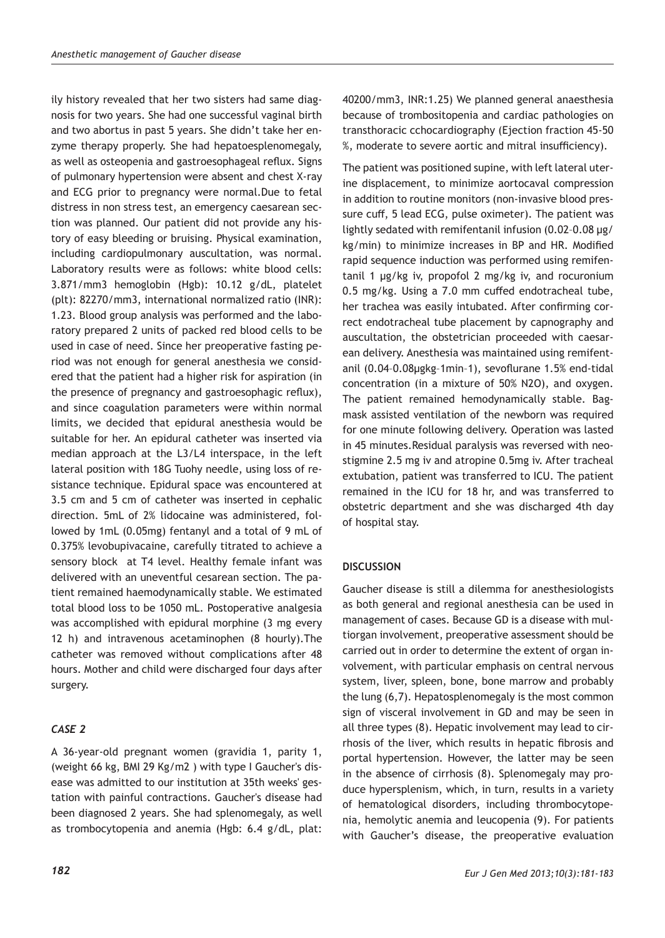ily history revealed that her two sisters had same diagnosis for two years. She had one successful vaginal birth and two abortus in past 5 years. She didn't take her enzyme therapy properly. She had hepatoesplenomegaly, as well as osteopenia and gastroesophageal reflux. Signs of pulmonary hypertension were absent and chest X-ray and ECG prior to pregnancy were normal.Due to fetal distress in non stress test, an emergency caesarean section was planned. Our patient did not provide any history of easy bleeding or bruising. Physical examination, including cardiopulmonary auscultation, was normal. Laboratory results were as follows: white blood cells: 3.871/mm3 hemoglobin (Hgb): 10.12 g/dL, platelet (plt): 82270/mm3, international normalized ratio (INR): 1.23. Blood group analysis was performed and the laboratory prepared 2 units of packed red blood cells to be used in case of need. Since her preoperative fasting period was not enough for general anesthesia we considered that the patient had a higher risk for aspiration (in the presence of pregnancy and gastroesophagic reflux), and since coagulation parameters were within normal limits, we decided that epidural anesthesia would be suitable for her. An epidural catheter was inserted via median approach at the L3/L4 interspace, in the left lateral position with 18G Tuohy needle, using loss of resistance technique. Epidural space was encountered at 3.5 cm and 5 cm of catheter was inserted in cephalic direction. 5mL of 2% lidocaine was administered, followed by 1mL (0.05mg) fentanyl and a total of 9 mL of 0.375% levobupivacaine, carefully titrated to achieve a sensory block at T4 level. Healthy female infant was delivered with an uneventful cesarean section. The patient remained haemodynamically stable. We estimated total blood loss to be 1050 mL. Postoperative analgesia was accomplished with epidural morphine (3 mg every 12 h) and intravenous acetaminophen (8 hourly).The catheter was removed without complications after 48 hours. Mother and child were discharged four days after surgery.

## *CASE 2*

A 36-year-old pregnant women (gravidia 1, parity 1, (weight 66 kg, BMI 29 Kg/m2 ) with type I Gaucher's disease was admitted to our institution at 35th weeks' gestation with painful contractions. Gaucher's disease had been diagnosed 2 years. She had splenomegaly, as well as trombocytopenia and anemia (Hgb: 6.4 g/dL, plat: 40200/mm3, INR:1.25) We planned general anaesthesia because of trombositopenia and cardiac pathologies on transthoracic cchocardiography (Ejection fraction 45-50 %, moderate to severe aortic and mitral insufficiency).

The patient was positioned supine, with left lateral uterine displacement, to minimize aortocaval compression in addition to routine monitors (non-invasive blood pressure cuff, 5 lead ECG, pulse oximeter). The patient was lightly sedated with remifentanil infusion (0.02–0.08 μg/ kg/min) to minimize increases in BP and HR. Modified rapid sequence induction was performed using remifentanil 1 μg/kg iv, propofol 2 mg/kg iv, and rocuronium 0.5 mg/kg. Using a 7.0 mm cuffed endotracheal tube, her trachea was easily intubated. After confirming correct endotracheal tube placement by capnography and auscultation, the obstetrician proceeded with caesarean delivery. Anesthesia was maintained using remifentanil (0.04–0.08μgkg–1min–1), sevoflurane 1.5% end-tidal concentration (in a mixture of 50% N2O), and oxygen. The patient remained hemodynamically stable. Bagmask assisted ventilation of the newborn was required for one minute following delivery. Operation was lasted in 45 minutes.Residual paralysis was reversed with neostigmine 2.5 mg iv and atropine 0.5mg iv. After tracheal extubation, patient was transferred to ICU. The patient remained in the ICU for 18 hr, and was transferred to obstetric department and she was discharged 4th day of hospital stay.

## **DISCUSSION**

Gaucher disease is still a dilemma for anesthesiologists as both general and regional anesthesia can be used in management of cases. Because GD is a disease with multiorgan involvement, preoperative assessment should be carried out in order to determine the extent of organ involvement, with particular emphasis on central nervous system, liver, spleen, bone, bone marrow and probably the lung (6,7). Hepatosplenomegaly is the most common sign of visceral involvement in GD and may be seen in all three types (8). Hepatic involvement may lead to cirrhosis of the liver, which results in hepatic fibrosis and portal hypertension. However, the latter may be seen in the absence of cirrhosis (8). Splenomegaly may produce hypersplenism, which, in turn, results in a variety of hematological disorders, including thrombocytopenia, hemolytic anemia and leucopenia (9). For patients with Gaucher's disease, the preoperative evaluation